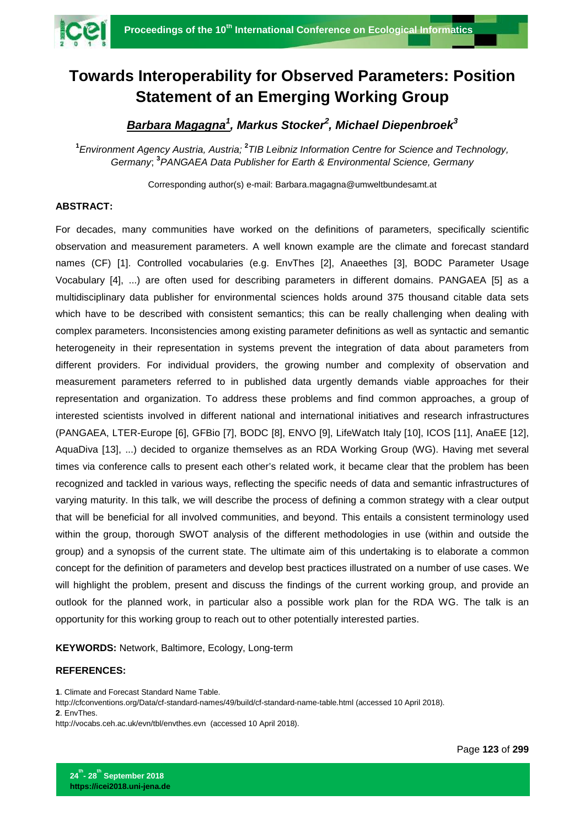

## **Towards Interoperability for Observed Parameters: Position Statement of an Emerging Working Group**

## *Barbara Magagna<sup>1</sup> , Markus Stocker<sup>2</sup> , Michael Diepenbroek<sup>3</sup>*

**1** *Environment Agency Austria, Austria;* **<sup>2</sup>** *TIB Leibniz Information Centre for Science and Technology, Germany*; **<sup>3</sup>** *PANGAEA Data Publisher for Earth & Environmental Science, Germany*

Corresponding author(s) e-mail: Barbara.magagna@umweltbundesamt.at

## **ABSTRACT:**

For decades, many communities have worked on the definitions of parameters, specifically scientific observation and measurement parameters. A well known example are the climate and forecast standard names (CF) [1]. Controlled vocabularies (e.g. EnvThes [2], Anaeethes [3], BODC Parameter Usage Vocabulary [4], ...) are often used for describing parameters in different domains. PANGAEA [5] as a multidisciplinary data publisher for environmental sciences holds around 375 thousand citable data sets which have to be described with consistent semantics; this can be really challenging when dealing with complex parameters. Inconsistencies among existing parameter definitions as well as syntactic and semantic heterogeneity in their representation in systems prevent the integration of data about parameters from different providers. For individual providers, the growing number and complexity of observation and measurement parameters referred to in published data urgently demands viable approaches for their representation and organization. To address these problems and find common approaches, a group of interested scientists involved in different national and international initiatives and research infrastructures (PANGAEA, LTER-Europe [6], GFBio [7], BODC [8], ENVO [9], LifeWatch Italy [10], ICOS [11], AnaEE [12], AquaDiva [13], ...) decided to organize themselves as an RDA Working Group (WG). Having met several times via conference calls to present each other's related work, it became clear that the problem has been recognized and tackled in various ways, reflecting the specific needs of data and semantic infrastructures of varying maturity. In this talk, we will describe the process of defining a common strategy with a clear output that will be beneficial for all involved communities, and beyond. This entails a consistent terminology used within the group, thorough SWOT analysis of the different methodologies in use (within and outside the group) and a synopsis of the current state. The ultimate aim of this undertaking is to elaborate a common concept for the definition of parameters and develop best practices illustrated on a number of use cases. We will highlight the problem, present and discuss the findings of the current working group, and provide an outlook for the planned work, in particular also a possible work plan for the RDA WG. The talk is an opportunity for this working group to reach out to other potentially interested parties.

**KEYWORDS:** Network, Baltimore, Ecology, Long-term

## **REFERENCES:**

**1**. Climate and Forecast Standard Name Table.

<http://cfconventions.org/Data/cf-standard-names/49/build/cf-standard-name-table.html> (accessed 10 April 2018). **2**. EnvThes.

<http://vocabs.ceh.ac.uk/evn/tbl/envthes.evn>(accessed 10 April 2018).